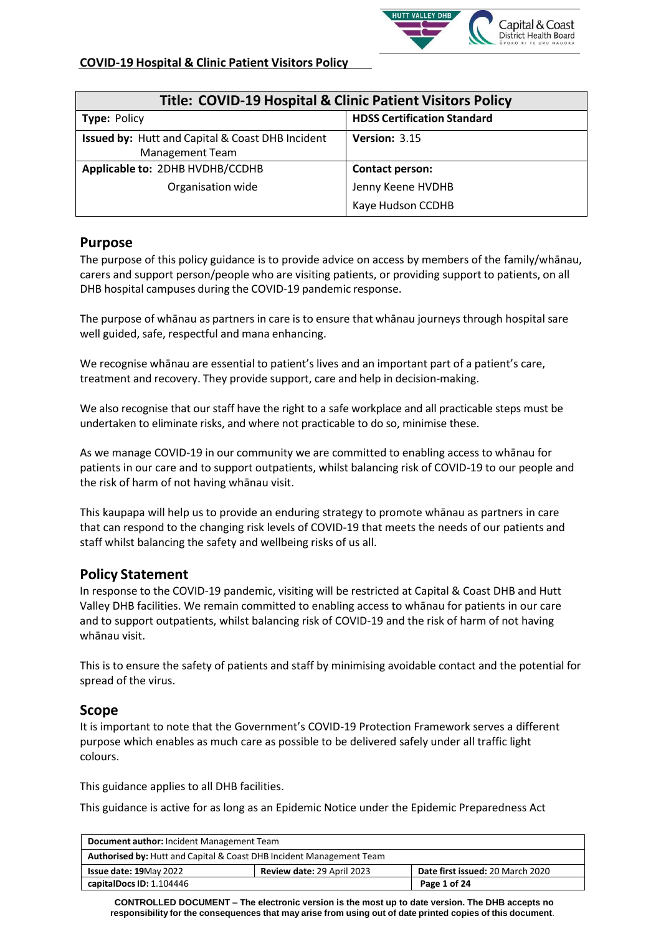

| <b>Title: COVID-19 Hospital &amp; Clinic Patient Visitors Policy</b>                  |                                    |  |
|---------------------------------------------------------------------------------------|------------------------------------|--|
| <b>Type: Policy</b>                                                                   | <b>HDSS Certification Standard</b> |  |
| <b>Issued by: Hutt and Capital &amp; Coast DHB Incident</b><br><b>Management Team</b> | Version: 3.15                      |  |
| Applicable to: 2DHB HVDHB/CCDHB                                                       | <b>Contact person:</b>             |  |
| Organisation wide                                                                     | Jenny Keene HVDHB                  |  |
|                                                                                       | Kaye Hudson CCDHB                  |  |

## **Purpose**

The purpose of this policy guidance is to provide advice on access by members of the family/whānau, carers and support person/people who are visiting patients, or providing support to patients, on all DHB hospital campuses during the COVID-19 pandemic response.

The purpose of whānau as partners in care is to ensure that whānau journeys through hospital sare well guided, safe, respectful and mana enhancing.

We recognise whānau are essential to patient's lives and an important part of a patient's care, treatment and recovery. They provide support, care and help in decision-making.

We also recognise that our staff have the right to a safe workplace and all practicable steps must be undertaken to eliminate risks, and where not practicable to do so, minimise these.

As we manage COVID-19 in our community we are committed to enabling access to whānau for patients in our care and to support outpatients, whilst balancing risk of COVID-19 to our people and the risk of harm of not having whānau visit.

This kaupapa will help us to provide an enduring strategy to promote whānau as partners in care that can respond to the changing risk levels of COVID-19 that meets the needs of our patients and staff whilst balancing the safety and wellbeing risks of us all.

# **Policy Statement**

In response to the COVID-19 pandemic, visiting will be restricted at Capital & Coast DHB and Hutt Valley DHB facilities. We remain committed to enabling access to whānau for patients in our care and to support outpatients, whilst balancing risk of COVID-19 and the risk of harm of not having whānau visit.

This is to ensure the safety of patients and staff by minimising avoidable contact and the potential for spread of the virus.

### **Scope**

It is important to note that the Government's COVID-19 Protection Framework serves a different purpose which enables as much care as possible to be delivered safely under all traffic light colours.

This guidance applies to all DHB facilities.

This guidance is active for as long as an Epidemic Notice under the Epidemic Preparedness Act

| Document author: Incident Management Team                            |                            |                                  |
|----------------------------------------------------------------------|----------------------------|----------------------------------|
| Authorised by: Hutt and Capital & Coast DHB Incident Management Team |                            |                                  |
| <b>Issue date: 19May 2022</b>                                        | Review date: 29 April 2023 | Date first issued: 20 March 2020 |
| capitalDocs ID: 1.104446<br>Page 1 of 24                             |                            |                                  |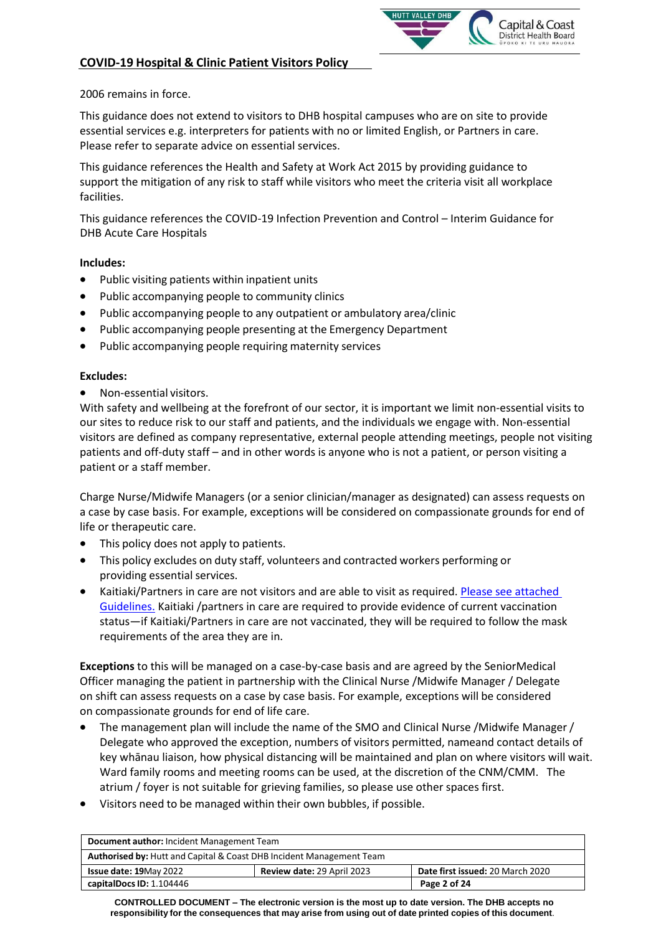

2006 remains in force.

This guidance does not extend to visitors to DHB hospital campuses who are on site to provide essential services e.g. interpreters for patients with no or limited English, or Partners in care. Please refer to separate advice on essential services.

This guidance references the Health and Safety at Work Act 2015 by providing guidance to support the mitigation of any risk to staff while visitors who meet the criteria visit all workplace facilities.

This guidance references the COVID-19 Infection Prevention and Control – Interim Guidance for DHB Acute Care Hospitals

### **Includes:**

- Public visiting patients within inpatient units
- Public accompanying people to community clinics
- Public accompanying people to any outpatient or ambulatory area/clinic
- Public accompanying people presenting at the Emergency Department
- Public accompanying people requiring maternity services

#### **Excludes:**

Non-essential visitors.

With safety and wellbeing at the forefront of our sector, it is important we limit non-essential visits to our sites to reduce risk to our staff and patients, and the individuals we engage with. Non-essential visitors are defined as company representative, external people attending meetings, people not visiting patients and off-duty staff – and in other words is anyone who is not a patient, or person visiting a patient or a staff member.

Charge Nurse/Midwife Managers (or a senior clinician/manager as designated) can assess requests on a case by case basis. For example, exceptions will be considered on compassionate grounds for end of life or therapeutic care.

- This policy does not apply to patients.
- This policy excludes on duty staff, volunteers and contracted workers performing or providing essential services.
- Kaitiaki/Partners in care are not visitors and are able to visit as required. Please see attached Guidelines. Kaitiaki /partners in care are required to provide evidence of current vaccination status—if Kaitiaki/Partners in care are not vaccinated, they will be required to follow the mask requirements of the area they are in.

**Exceptions** to this will be managed on a case-by-case basis and are agreed by the SeniorMedical Officer managing the patient in partnership with the Clinical Nurse /Midwife Manager / Delegate on shift can assess requests on a case by case basis. For example, exceptions will be considered on compassionate grounds for end of life care.

- The management plan will include the name of the SMO and Clinical Nurse /Midwife Manager / Delegate who approved the exception, numbers of visitors permitted, nameand contact details of key whānau liaison, how physical distancing will be maintained and plan on where visitors will wait. Ward family rooms and meeting rooms can be used, at the discretion of the CNM/CMM. The atrium / foyer is not suitable for grieving families, so please use other spaces first.
- Visitors need to be managed within their own bubbles, if possible.

| Document author: Incident Management Team                            |                            |                                  |
|----------------------------------------------------------------------|----------------------------|----------------------------------|
| Authorised by: Hutt and Capital & Coast DHB Incident Management Team |                            |                                  |
| <b>Issue date: 19May 2022</b>                                        | Review date: 29 April 2023 | Date first issued: 20 March 2020 |
| capitalDocs ID: 1.104446<br>Page 2 of 24                             |                            |                                  |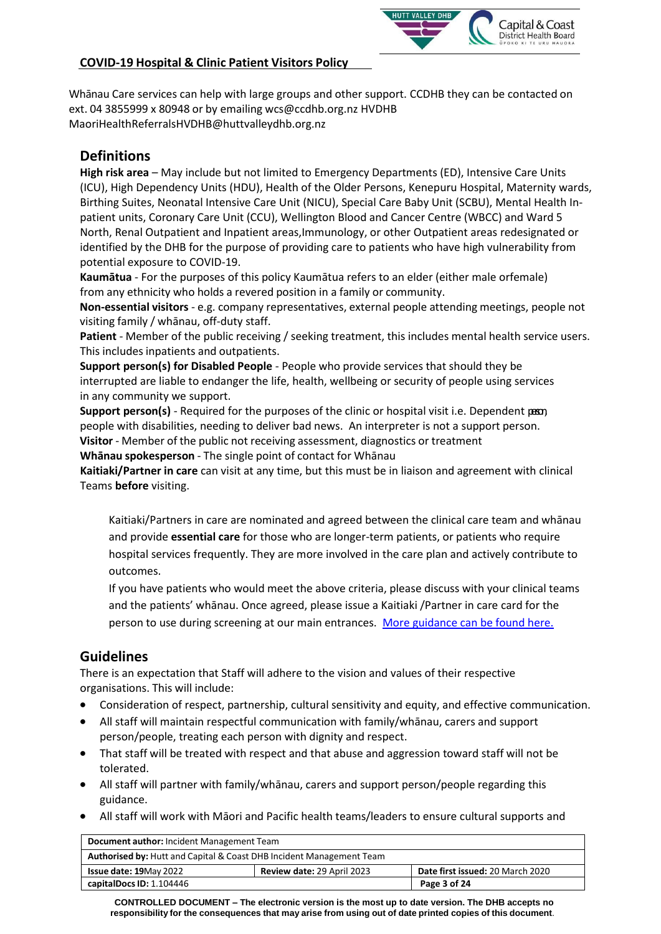

Whānau Care services can help with large groups and other support. CCDHB they can be contacted on ext. 04 3855999 x 80948 or by emailing wcs@ccdhb.org.nz HVDHB [MaoriHealthReferralsHVDHB@huttvalleydhb.org.nz](mailto:MaoriHealthReferralsHVDHB@huttvalleydhb.org.nz)

# **Definitions**

**High risk area** – May include but not limited to Emergency Departments (ED), Intensive Care Units (ICU), High Dependency Units (HDU), Health of the Older Persons, Kenepuru Hospital, Maternity wards, Birthing Suites, Neonatal Intensive Care Unit (NICU), Special Care Baby Unit (SCBU), Mental Health Inpatient units, Coronary Care Unit (CCU), Wellington Blood and Cancer Centre (WBCC) and Ward 5 North, Renal Outpatient and Inpatient areas,Immunology, or other Outpatient areas redesignated or identified by the DHB for the purpose of providing care to patients who have high vulnerability from potential exposure to COVID-19.

**Kaumātua** - For the purposes of this policy Kaumātua refers to an elder (either male orfemale) from any ethnicity who holds a revered position in a family or community.

**Non-essential visitors** - e.g. company representatives, external people attending meetings, people not visiting family / whānau, off-duty staff.

**Patient** - Member of the public receiving / seeking treatment, this includes mental health service users. This includes inpatients and outpatients.

**Support person(s) for Disabled People** - People who provide services that should they be interrupted are liable to endanger the life, health, wellbeing or security of people using services in any community we support.

**Support person(s)** - Required for the purposes of the clinic or hospital visit i.e. Dependent por people with disabilities, needing to deliver bad news. An interpreter is not a support person. **Visitor** - Member of the public not receiving assessment, diagnostics or treatment

**Whānau spokesperson** - The single point of contact for Whānau

 **Kaitiaki/Partner in care** can visit at any time, but this must be in liaison and agreement with clinical Teams **before** visiting.

Kaitiaki/Partners in care are nominated and agreed between the clinical care team and whānau and provide **essential care** for those who are longer-term patients, or patients who require hospital services frequently. They are more involved in the care plan and actively contribute to outcomes.

If you have patients who would meet the above criteria, please discuss with your clinical teams and the patients' whānau. Once agreed, please issue a Kaitiaki /Partner in care card for the person to use during screening at our main entrances. More guidance can be found here.

# **Guidelines**

There is an expectation that Staff will adhere to the vision and values of their respective organisations. This will include:

- Consideration of respect, partnership, cultural sensitivity and equity, and effective communication.
- All staff will maintain respectful communication with family/whānau, carers and support person/people, treating each person with dignity and respect.
- That staff will be treated with respect and that abuse and aggression toward staff will not be tolerated.
- All staff will partner with family/whānau, carers and support person/people regarding this guidance.
- All staff will work with Māori and Pacific health teams/leaders to ensure cultural supports and

| Document author: Incident Management Team                                                       |  |  |
|-------------------------------------------------------------------------------------------------|--|--|
| Authorised by: Hutt and Capital & Coast DHB Incident Management Team                            |  |  |
| Date first issued: 20 March 2020<br>Review date: 29 April 2023<br><b>Issue date: 19May 2022</b> |  |  |
| capitalDocs ID: 1.104446<br>Page 3 of 24                                                        |  |  |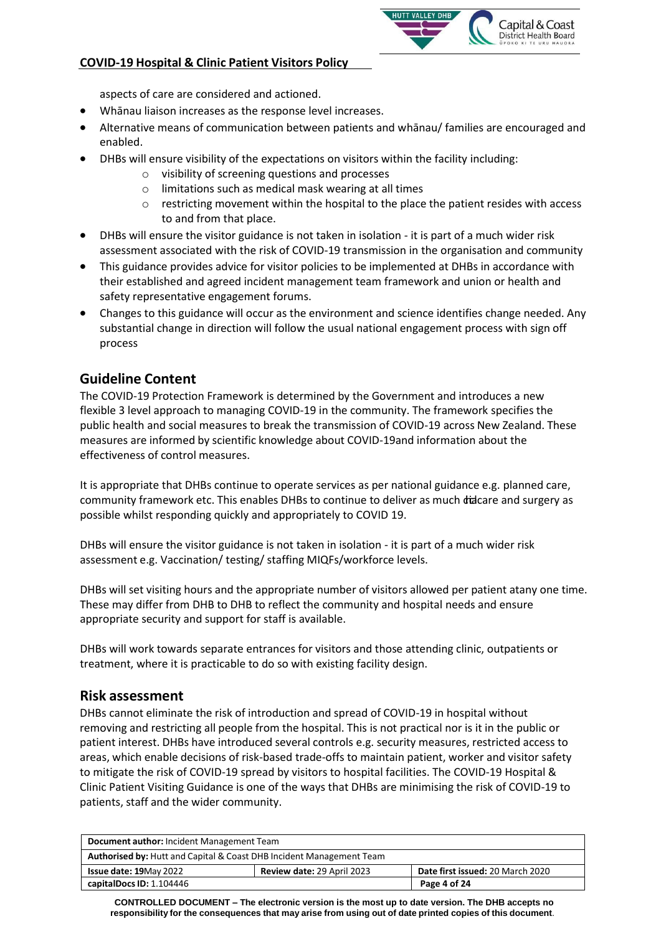aspects of care are considered and actioned.

- Whānau liaison increases as the response level increases.
- Alternative means of communication between patients and whānau/ families are encouraged and enabled.
- DHBs will ensure visibility of the expectations on visitors within the facility including:
	- o visibility of screening questions and processes
	- o limitations such as medical mask wearing at all times
	- o restricting movement within the hospital to the place the patient resides with access to and from that place.

Capital & Coast District Health Board

- DHBs will ensure the visitor guidance is not taken in isolation it is part of a much wider risk assessment associated with the risk of COVID-19 transmission in the organisation and community
- This guidance provides advice for visitor policies to be implemented at DHBs in accordance with their established and agreed incident management team framework and union or health and safety representative engagement forums.
- Changes to this guidance will occur as the environment and science identifies change needed. Any substantial change in direction will follow the usual national engagement process with sign off process

# **Guideline Content**

The COVID-19 Protection Framework is determined by the Government and introduces a new flexible 3 level approach to managing COVID-19 in the community. The framework specifies the public health and social measures to break the transmission of COVID-19 across New Zealand. These measures are informed by scientific knowledge about COVID-19and information about the effectiveness of control measures.

It is appropriate that DHBs continue to operate services as per national guidance e.g. planned care, community framework etc. This enables DHBs to continue to deliver as much didcare and surgery as possible whilst responding quickly and appropriately to COVID 19.

DHBs will ensure the visitor guidance is not taken in isolation - it is part of a much wider risk assessment e.g. Vaccination/ testing/ staffing MIQFs/workforce levels.

DHBs will set visiting hours and the appropriate number of visitors allowed per patient atany one time. These may differ from DHB to DHB to reflect the community and hospital needs and ensure appropriate security and support for staff is available.

DHBs will work towards separate entrances for visitors and those attending clinic, outpatients or treatment, where it is practicable to do so with existing facility design.

### **Risk assessment**

DHBs cannot eliminate the risk of introduction and spread of COVID-19 in hospital without removing and restricting all people from the hospital. This is not practical nor is it in the public or patient interest. DHBs have introduced several controls e.g. security measures, restricted access to areas, which enable decisions of risk-based trade-offs to maintain patient, worker and visitor safety to mitigate the risk of COVID-19 spread by visitors to hospital facilities. The COVID-19 Hospital & Clinic Patient Visiting Guidance is one of the ways that DHBs are minimising the risk of COVID-19 to patients, staff and the wider community.

| Document author: Incident Management Team                            |                            |                                  |
|----------------------------------------------------------------------|----------------------------|----------------------------------|
| Authorised by: Hutt and Capital & Coast DHB Incident Management Team |                            |                                  |
| <b>Issue date: 19May 2022</b>                                        | Review date: 29 April 2023 | Date first issued: 20 March 2020 |
| capitalDocs ID: 1.104446<br>Page 4 of 24                             |                            |                                  |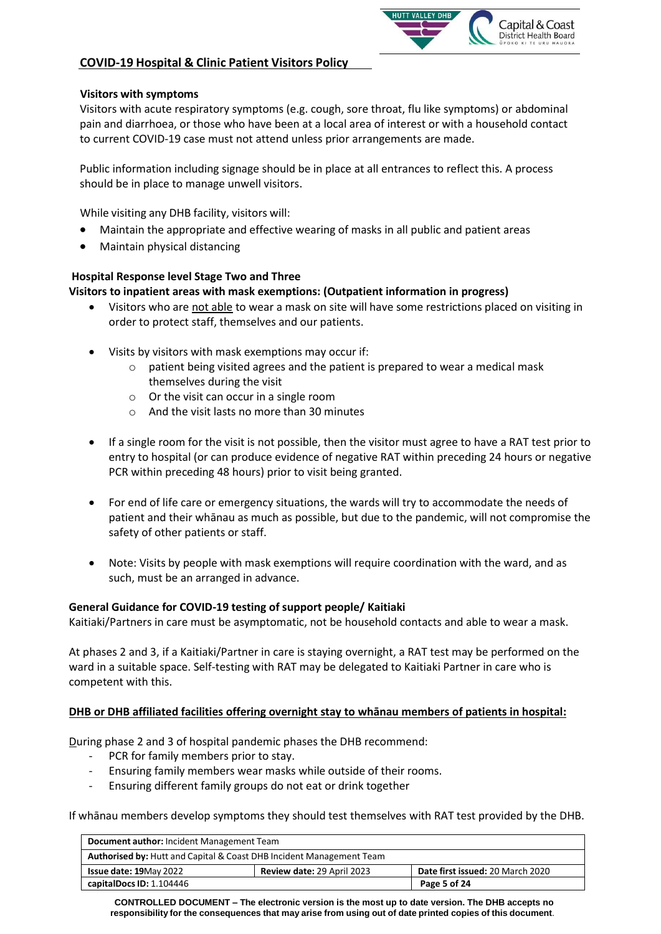#### **Visitors with symptoms**

Visitors with acute respiratory symptoms (e.g. cough, sore throat, flu like symptoms) or abdominal pain and diarrhoea, or those who have been at a local area of interest or with a household contact to current COVID-19 case must not attend unless prior arrangements are made.

Capital & Coast District Health Board

Public information including signage should be in place at all entrances to reflect this. A process should be in place to manage unwell visitors.

While visiting any DHB facility, visitors will:

- Maintain the appropriate and effective wearing of masks in all public and patient areas
- Maintain physical distancing

#### **Hospital Response level Stage Two and Three**

#### **Visitors to inpatient areas with mask exemptions: (Outpatient information in progress)**

- Visitors who are not able to wear a mask on site will have some restrictions placed on visiting in order to protect staff, themselves and our patients.
- Visits by visitors with mask exemptions may occur if:
	- $\circ$  patient being visited agrees and the patient is prepared to wear a medical mask themselves during the visit
	- o Or the visit can occur in a single room
	- o And the visit lasts no more than 30 minutes
- If a single room for the visit is not possible, then the visitor must agree to have a RAT test prior to entry to hospital (or can produce evidence of negative RAT within preceding 24 hours or negative PCR within preceding 48 hours) prior to visit being granted.
- For end of life care or emergency situations, the wards will try to accommodate the needs of patient and their whānau as much as possible, but due to the pandemic, will not compromise the safety of other patients or staff.
- Note: Visits by people with mask exemptions will require coordination with the ward, and as such, must be an arranged in advance.

#### **General Guidance for COVID-19 testing of support people/ Kaitiaki**

Kaitiaki/Partners in care must be asymptomatic, not be household contacts and able to wear a mask.

At phases 2 and 3, if a Kaitiaki/Partner in care is staying overnight, a RAT test may be performed on the ward in a suitable space. Self-testing with RAT may be delegated to Kaitiaki Partner in care who is competent with this.

#### **DHB or DHB affiliated facilities offering overnight stay to whānau members of patients in hospital:**

During phase 2 and 3 of hospital pandemic phases the DHB recommend:

- PCR for family members prior to stay.
- Ensuring family members wear masks while outside of their rooms.
- Ensuring different family groups do not eat or drink together

If whānau members develop symptoms they should test themselves with RAT test provided by the DHB.

| Document author: Incident Management Team                                                       |  |  |
|-------------------------------------------------------------------------------------------------|--|--|
| Authorised by: Hutt and Capital & Coast DHB Incident Management Team                            |  |  |
| Date first issued: 20 March 2020<br>Review date: 29 April 2023<br><b>Issue date: 19May 2022</b> |  |  |
| capitalDocs ID: 1.104446<br>Page 5 of 24                                                        |  |  |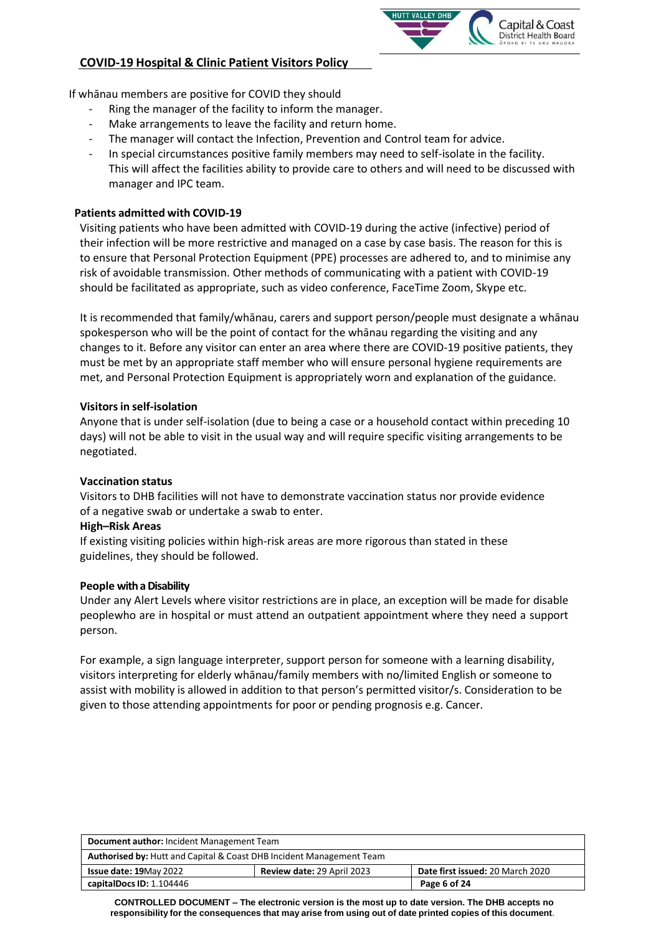

If whānau members are positive for COVID they should

- Ring the manager of the facility to inform the manager.
- Make arrangements to leave the facility and return home.
- The manager will contact the Infection, Prevention and Control team for advice.
- In special circumstances positive family members may need to self-isolate in the facility. This will affect the facilities ability to provide care to others and will need to be discussed with manager and IPC team.

#### **Patients admitted with COVID-19**

Visiting patients who have been admitted with COVID-19 during the active (infective) period of their infection will be more restrictive and managed on a case by case basis. The reason for this is to ensure that Personal Protection Equipment (PPE) processes are adhered to, and to minimise any risk of avoidable transmission. Other methods of communicating with a patient with COVID-19 should be facilitated as appropriate, such as video conference, FaceTime Zoom, Skype etc.

It is recommended that family/whānau, carers and support person/people must designate a whānau spokesperson who will be the point of contact for the whānau regarding the visiting and any changes to it. Before any visitor can enter an area where there are COVID-19 positive patients, they must be met by an appropriate staff member who will ensure personal hygiene requirements are met, and Personal Protection Equipment is appropriately worn and explanation of the guidance.

#### **Visitorsin self-isolation**

Anyone that is under self-isolation (due to being a case or a household contact within preceding 10 days) will not be able to visit in the usual way and will require specific visiting arrangements to be negotiated.

#### **Vaccination status**

Visitors to DHB facilities will not have to demonstrate vaccination status nor provide evidence of a negative swab or undertake a swab to enter.

#### **High–Risk Areas**

If existing visiting policies within high-risk areas are more rigorous than stated in these guidelines, they should be followed.

#### **People with a Disability**

Under any Alert Levels where visitor restrictions are in place, an exception will be made for disable peoplewho are in hospital or must attend an outpatient appointment where they need a support person.

For example, a sign language interpreter, support person for someone with a learning disability, visitors interpreting for elderly whānau/family members with no/limited English or someone to assist with mobility is allowed in addition to that person's permitted visitor/s. Consideration to be given to those attending appointments for poor or pending prognosis e.g. Cancer.

| Document author: Incident Management Team                            |                            |                                  |
|----------------------------------------------------------------------|----------------------------|----------------------------------|
| Authorised by: Hutt and Capital & Coast DHB Incident Management Team |                            |                                  |
| <b>Issue date: 19</b> May 2022                                       | Review date: 29 April 2023 | Date first issued: 20 March 2020 |
| capitalDocs ID: 1.104446<br>Page 6 of 24                             |                            |                                  |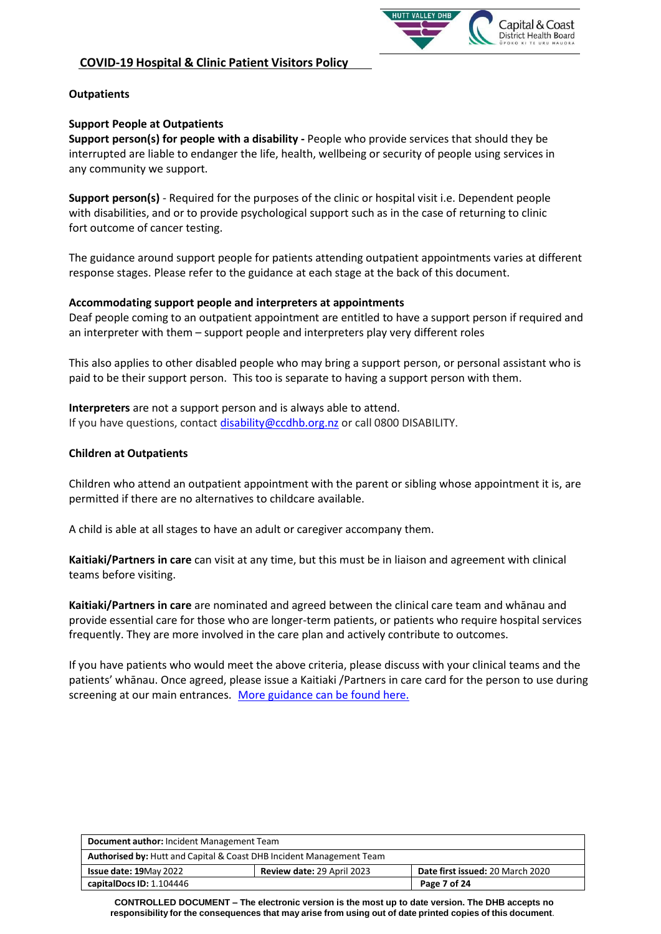

### **Outpatients**

### **Support People at Outpatients**

**Support person(s) for people with a disability -** People who provide services that should they be interrupted are liable to endanger the life, health, wellbeing or security of people using services in any community we support.

**Support person(s)** - Required for the purposes of the clinic or hospital visit i.e. Dependent people with disabilities, and or to provide psychological support such as in the case of returning to clinic fort outcome of cancer testing.

The guidance around support people for patients attending outpatient appointments varies at different response stages. Please refer to the guidance at each stage at the back of this document.

#### **Accommodating support people and interpreters at appointments**

Deaf people coming to an outpatient appointment are entitled to have a support person if required and an interpreter with them – support people and interpreters play very different roles

This also applies to other disabled people who may bring a support person, or personal assistant who is paid to be their support person. This too is separate to having a support person with them.

**Interpreters** are not a support person and is always able to attend. If you have questions, contact [disability@ccdhb.org.nz](mailto:disability@ccdhb.org.nz) or call 0800 DISABILITY.

#### **Children at Outpatients**

Children who attend an outpatient appointment with the parent or sibling whose appointment it is, are permitted if there are no alternatives to childcare available.

A child is able at all stages to have an adult or caregiver accompany them.

**Kaitiaki/Partners in care** can visit at any time, but this must be in liaison and agreement with clinical teams before visiting.

**Kaitiaki/Partners in care** are nominated and agreed between the clinical care team and whānau and provide essential care for those who are longer-term patients, or patients who require hospital services frequently. They are more involved in the care plan and actively contribute to outcomes.

If you have patients who would meet the above criteria, please discuss with your clinical teams and the patients' whānau. Once agreed, please issue a Kaitiaki /Partners in care card for the person to use during screening at our main entrances. More guidance can be found here.

| Document author: Incident Management Team                            |                            |                                  |
|----------------------------------------------------------------------|----------------------------|----------------------------------|
| Authorised by: Hutt and Capital & Coast DHB Incident Management Team |                            |                                  |
| <b>Issue date: 19May 2022</b>                                        | Review date: 29 April 2023 | Date first issued: 20 March 2020 |
| capitalDocs ID: 1.104446<br>Page 7 of 24                             |                            |                                  |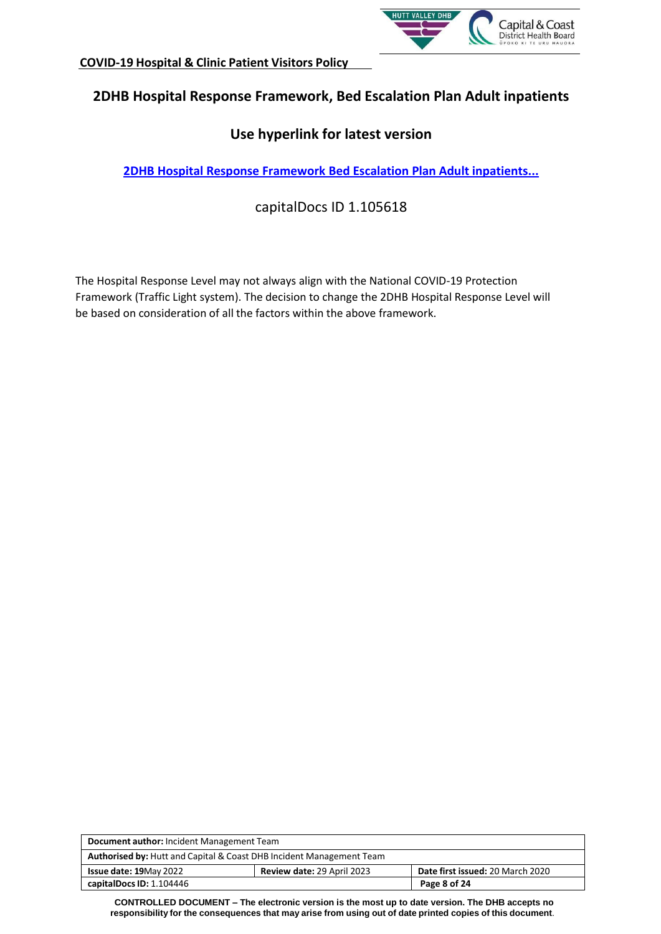

# **2DHB Hospital Response Framework, Bed Escalation Plan Adult inpatients**

# **Use hyperlink for latest version**

**2DHB Hospital Response Framework [Bed Escalation Plan Adult inpatients...](http://silentone/content/capitalDoc/200_24_Hour__Flight___Anaesthesia__Pain___ICU_and_Theatre__Perioperative_Services_and_Outpatients__Surgical/Policies_procedures/000000105618/__file__/000000105618.pdf)**

# capitalDocs ID 1.105618

The Hospital Response Level may not always align with the National COVID-19 Protection Framework (Traffic Light system). The decision to change the 2DHB Hospital Response Level will be based on consideration of all the factors within the above framework.

| Document author: Incident Management Team                            |                            |                                  |
|----------------------------------------------------------------------|----------------------------|----------------------------------|
| Authorised by: Hutt and Capital & Coast DHB Incident Management Team |                            |                                  |
| <b>Issue date: 19May 2022</b>                                        | Review date: 29 April 2023 | Date first issued: 20 March 2020 |
| capitalDocs ID: 1.104446<br>Page 8 of 24                             |                            |                                  |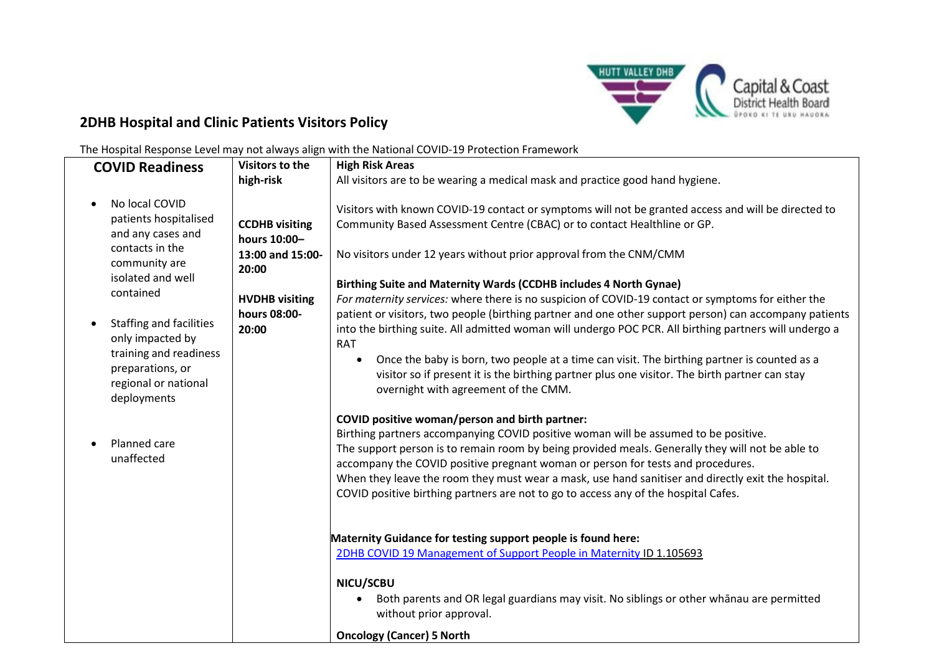

# **2DHB Hospital and Clinic Patients Visitors Policy**

The Hospital Response Level may not always align with the National COVID-19 Protection Framework

| <b>COVID Readiness</b>                                                                                                                                                                                                                                                        | Visitors to the<br>high-risk                                                                                         | <b>High Risk Areas</b><br>All visitors are to be wearing a medical mask and practice good hand hygiene.                                                                                                                                                                                                                                                                                                                                                                                                                                                                                                                                                                                                                                                                                                                                                                                                    |
|-------------------------------------------------------------------------------------------------------------------------------------------------------------------------------------------------------------------------------------------------------------------------------|----------------------------------------------------------------------------------------------------------------------|------------------------------------------------------------------------------------------------------------------------------------------------------------------------------------------------------------------------------------------------------------------------------------------------------------------------------------------------------------------------------------------------------------------------------------------------------------------------------------------------------------------------------------------------------------------------------------------------------------------------------------------------------------------------------------------------------------------------------------------------------------------------------------------------------------------------------------------------------------------------------------------------------------|
| No local COVID<br>patients hospitalised<br>and any cases and<br>contacts in the<br>community are<br>isolated and well<br>contained<br><b>Staffing and facilities</b><br>only impacted by<br>training and readiness<br>preparations, or<br>regional or national<br>deployments | <b>CCDHB</b> visiting<br>hours 10:00-<br>13:00 and 15:00-<br>20:00<br><b>HVDHB visiting</b><br>hours 08:00-<br>20:00 | Visitors with known COVID-19 contact or symptoms will not be granted access and will be directed to<br>Community Based Assessment Centre (CBAC) or to contact Healthline or GP.<br>No visitors under 12 years without prior approval from the CNM/CMM<br>Birthing Suite and Maternity Wards (CCDHB includes 4 North Gynae)<br>For maternity services: where there is no suspicion of COVID-19 contact or symptoms for either the<br>patient or visitors, two people (birthing partner and one other support person) can accompany patients<br>into the birthing suite. All admitted woman will undergo POC PCR. All birthing partners will undergo a<br><b>RAT</b><br>Once the baby is born, two people at a time can visit. The birthing partner is counted as a<br>visitor so if present it is the birthing partner plus one visitor. The birth partner can stay<br>overnight with agreement of the CMM. |
| Planned care<br>unaffected                                                                                                                                                                                                                                                    |                                                                                                                      | COVID positive woman/person and birth partner:<br>Birthing partners accompanying COVID positive woman will be assumed to be positive.<br>The support person is to remain room by being provided meals. Generally they will not be able to<br>accompany the COVID positive pregnant woman or person for tests and procedures.<br>When they leave the room they must wear a mask, use hand sanitiser and directly exit the hospital.<br>COVID positive birthing partners are not to go to access any of the hospital Cafes.                                                                                                                                                                                                                                                                                                                                                                                  |
|                                                                                                                                                                                                                                                                               |                                                                                                                      | Maternity Guidance for testing support people is found here:<br>2DHB COVID 19 Management of Support People in Maternity ID 1.105693<br>NICU/SCBU<br>Both parents and OR legal guardians may visit. No siblings or other whanau are permitted<br>without prior approval.<br><b>Oncology (Cancer) 5 North</b>                                                                                                                                                                                                                                                                                                                                                                                                                                                                                                                                                                                                |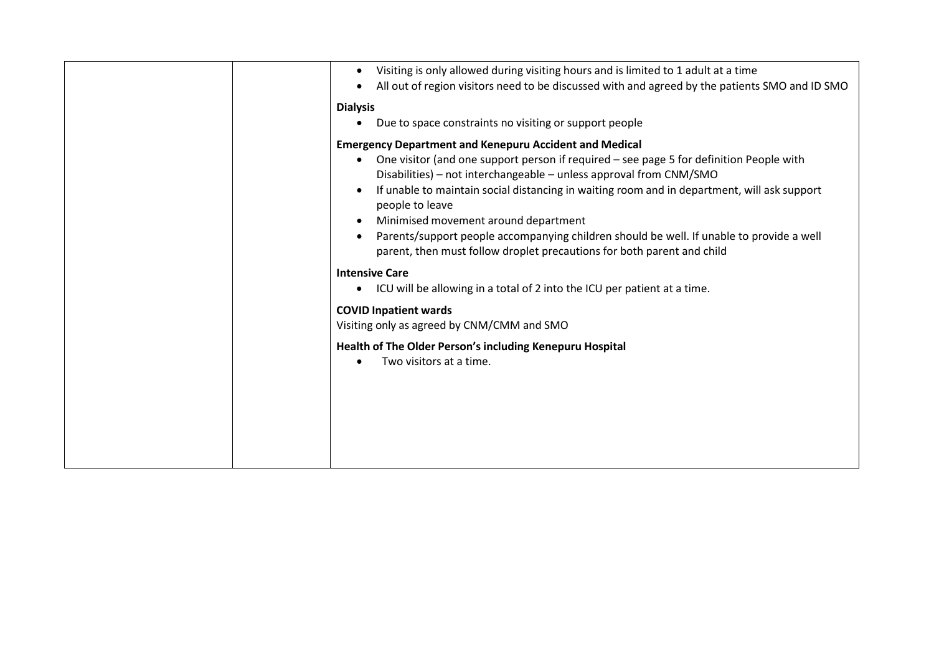| Visiting is only allowed during visiting hours and is limited to 1 adult at a time<br>All out of region visitors need to be discussed with and agreed by the patients SMO and ID SMO<br><b>Dialysis</b><br>Due to space constraints no visiting or support people                                                                                                                                                                                                                                              |
|----------------------------------------------------------------------------------------------------------------------------------------------------------------------------------------------------------------------------------------------------------------------------------------------------------------------------------------------------------------------------------------------------------------------------------------------------------------------------------------------------------------|
| <b>Emergency Department and Kenepuru Accident and Medical</b><br>One visitor (and one support person if required - see page 5 for definition People with<br>Disabilities) - not interchangeable - unless approval from CNM/SMO<br>If unable to maintain social distancing in waiting room and in department, will ask support<br>$\bullet$<br>people to leave<br>Minimised movement around department<br>$\bullet$<br>Parents/support people accompanying children should be well. If unable to provide a well |
| parent, then must follow droplet precautions for both parent and child<br><b>Intensive Care</b><br>ICU will be allowing in a total of 2 into the ICU per patient at a time.<br>$\bullet$<br><b>COVID Inpatient wards</b>                                                                                                                                                                                                                                                                                       |
| Visiting only as agreed by CNM/CMM and SMO<br>Health of The Older Person's including Kenepuru Hospital<br>Two visitors at a time.                                                                                                                                                                                                                                                                                                                                                                              |
|                                                                                                                                                                                                                                                                                                                                                                                                                                                                                                                |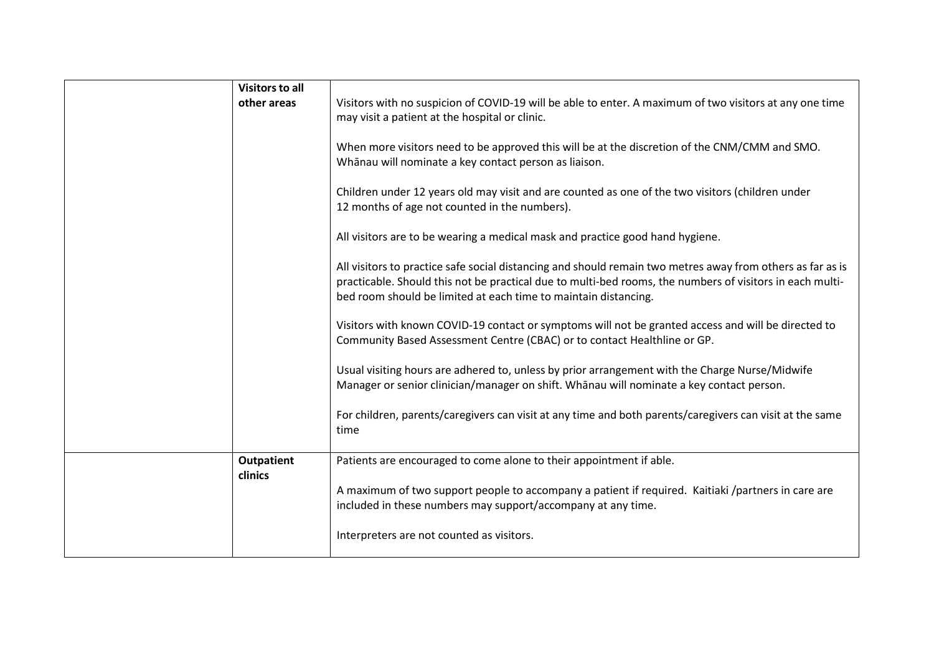| <b>Visitors to all</b><br>other areas | Visitors with no suspicion of COVID-19 will be able to enter. A maximum of two visitors at any one time<br>may visit a patient at the hospital or clinic.<br>When more visitors need to be approved this will be at the discretion of the CNM/CMM and SMO.<br>Whānau will nominate a key contact person as liaison.<br>Children under 12 years old may visit and are counted as one of the two visitors (children under<br>12 months of age not counted in the numbers).                                                                                                                                                                                                                                                                                                                                                                                                        |
|---------------------------------------|---------------------------------------------------------------------------------------------------------------------------------------------------------------------------------------------------------------------------------------------------------------------------------------------------------------------------------------------------------------------------------------------------------------------------------------------------------------------------------------------------------------------------------------------------------------------------------------------------------------------------------------------------------------------------------------------------------------------------------------------------------------------------------------------------------------------------------------------------------------------------------|
|                                       | All visitors are to be wearing a medical mask and practice good hand hygiene.<br>All visitors to practice safe social distancing and should remain two metres away from others as far as is<br>practicable. Should this not be practical due to multi-bed rooms, the numbers of visitors in each multi-<br>bed room should be limited at each time to maintain distancing.<br>Visitors with known COVID-19 contact or symptoms will not be granted access and will be directed to<br>Community Based Assessment Centre (CBAC) or to contact Healthline or GP.<br>Usual visiting hours are adhered to, unless by prior arrangement with the Charge Nurse/Midwife<br>Manager or senior clinician/manager on shift. Whanau will nominate a key contact person.<br>For children, parents/caregivers can visit at any time and both parents/caregivers can visit at the same<br>time |
| <b>Outpatient</b><br>clinics          | Patients are encouraged to come alone to their appointment if able.<br>A maximum of two support people to accompany a patient if required. Kaitiaki /partners in care are<br>included in these numbers may support/accompany at any time.<br>Interpreters are not counted as visitors.                                                                                                                                                                                                                                                                                                                                                                                                                                                                                                                                                                                          |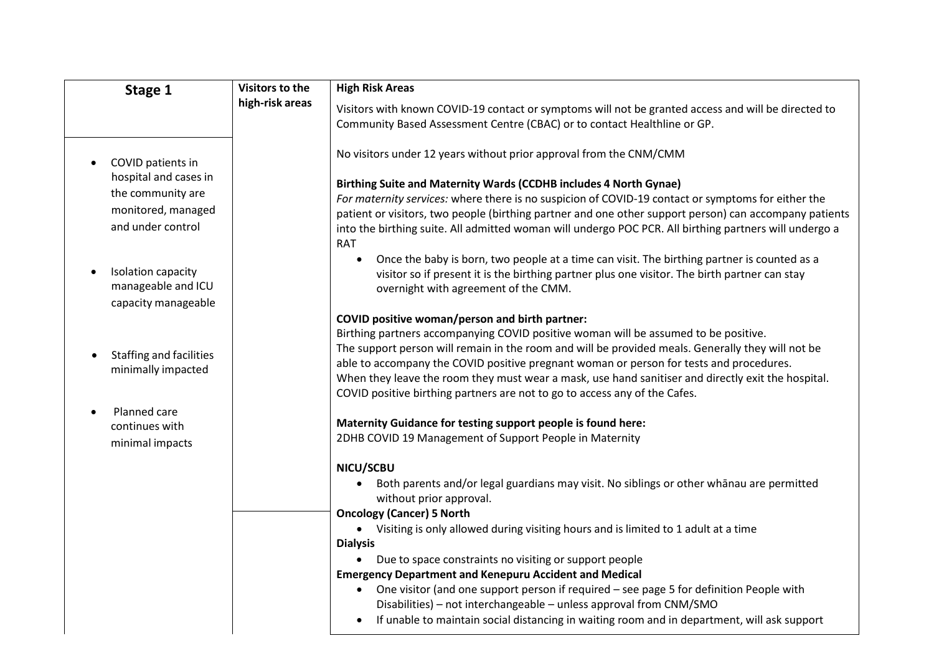| Stage 1                                                                                                    | <b>Visitors to the</b> | <b>High Risk Areas</b>                                                                                                                                                                                                                                                                                                                                                                                                                                                                                                                                                                                                        |  |  |
|------------------------------------------------------------------------------------------------------------|------------------------|-------------------------------------------------------------------------------------------------------------------------------------------------------------------------------------------------------------------------------------------------------------------------------------------------------------------------------------------------------------------------------------------------------------------------------------------------------------------------------------------------------------------------------------------------------------------------------------------------------------------------------|--|--|
|                                                                                                            | high-risk areas        | Visitors with known COVID-19 contact or symptoms will not be granted access and will be directed to<br>Community Based Assessment Centre (CBAC) or to contact Healthline or GP.                                                                                                                                                                                                                                                                                                                                                                                                                                               |  |  |
| COVID patients in<br>hospital and cases in<br>the community are<br>monitored, managed<br>and under control |                        | No visitors under 12 years without prior approval from the CNM/CMM<br>Birthing Suite and Maternity Wards (CCDHB includes 4 North Gynae)<br>For maternity services: where there is no suspicion of COVID-19 contact or symptoms for either the<br>patient or visitors, two people (birthing partner and one other support person) can accompany patients<br>into the birthing suite. All admitted woman will undergo POC PCR. All birthing partners will undergo a<br><b>RAT</b>                                                                                                                                               |  |  |
| Isolation capacity<br>manageable and ICU<br>capacity manageable                                            |                        | Once the baby is born, two people at a time can visit. The birthing partner is counted as a<br>$\bullet$<br>visitor so if present it is the birthing partner plus one visitor. The birth partner can stay<br>overnight with agreement of the CMM.                                                                                                                                                                                                                                                                                                                                                                             |  |  |
| <b>Staffing and facilities</b><br>minimally impacted                                                       |                        | COVID positive woman/person and birth partner:<br>Birthing partners accompanying COVID positive woman will be assumed to be positive.<br>The support person will remain in the room and will be provided meals. Generally they will not be<br>able to accompany the COVID positive pregnant woman or person for tests and procedures.<br>When they leave the room they must wear a mask, use hand sanitiser and directly exit the hospital.<br>COVID positive birthing partners are not to go to access any of the Cafes.                                                                                                     |  |  |
| Planned care<br>continues with<br>minimal impacts                                                          |                        | Maternity Guidance for testing support people is found here:<br>2DHB COVID 19 Management of Support People in Maternity                                                                                                                                                                                                                                                                                                                                                                                                                                                                                                       |  |  |
|                                                                                                            |                        | NICU/SCBU<br>Both parents and/or legal guardians may visit. No siblings or other whanau are permitted<br>$\bullet$<br>without prior approval.<br><b>Oncology (Cancer) 5 North</b><br>Visiting is only allowed during visiting hours and is limited to 1 adult at a time<br>$\bullet$<br><b>Dialysis</b><br>Due to space constraints no visiting or support people<br>$\bullet$<br><b>Emergency Department and Kenepuru Accident and Medical</b><br>One visitor (and one support person if required - see page 5 for definition People with<br>$\bullet$<br>Disabilities) – not interchangeable – unless approval from CNM/SMO |  |  |
|                                                                                                            |                        | If unable to maintain social distancing in waiting room and in department, will ask support<br>$\bullet$                                                                                                                                                                                                                                                                                                                                                                                                                                                                                                                      |  |  |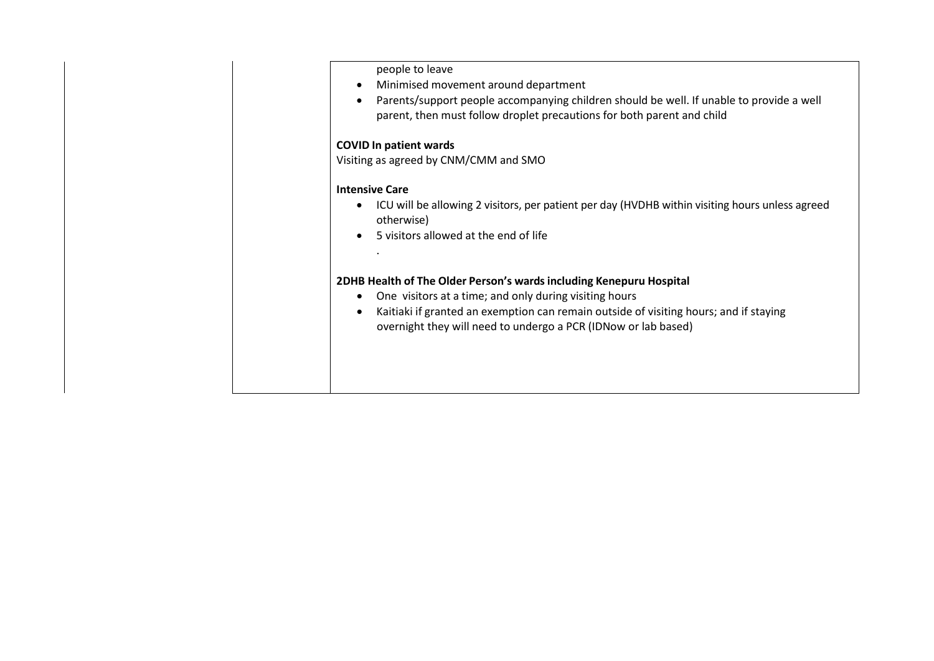| people to leave<br>Minimised movement around department<br>Parents/support people accompanying children should be well. If unable to provide a well<br>parent, then must follow droplet precautions for both parent and child<br><b>COVID In patient wards</b><br>Visiting as agreed by CNM/CMM and SMO<br><b>Intensive Care</b><br>otherwise)<br>5 visitors allowed at the end of life<br>2DHB Health of The Older Person's wards including Kenepuru Hospital<br>One visitors at a time; and only during visiting hours<br>٠<br>Kaitiaki if granted an exemption can remain outside of visiting hours; and if staying<br>$\bullet$<br>overnight they will need to undergo a PCR (IDNow or lab based) |                                                                                                 |
|-------------------------------------------------------------------------------------------------------------------------------------------------------------------------------------------------------------------------------------------------------------------------------------------------------------------------------------------------------------------------------------------------------------------------------------------------------------------------------------------------------------------------------------------------------------------------------------------------------------------------------------------------------------------------------------------------------|-------------------------------------------------------------------------------------------------|
|                                                                                                                                                                                                                                                                                                                                                                                                                                                                                                                                                                                                                                                                                                       |                                                                                                 |
|                                                                                                                                                                                                                                                                                                                                                                                                                                                                                                                                                                                                                                                                                                       |                                                                                                 |
|                                                                                                                                                                                                                                                                                                                                                                                                                                                                                                                                                                                                                                                                                                       |                                                                                                 |
|                                                                                                                                                                                                                                                                                                                                                                                                                                                                                                                                                                                                                                                                                                       |                                                                                                 |
|                                                                                                                                                                                                                                                                                                                                                                                                                                                                                                                                                                                                                                                                                                       |                                                                                                 |
|                                                                                                                                                                                                                                                                                                                                                                                                                                                                                                                                                                                                                                                                                                       |                                                                                                 |
|                                                                                                                                                                                                                                                                                                                                                                                                                                                                                                                                                                                                                                                                                                       |                                                                                                 |
|                                                                                                                                                                                                                                                                                                                                                                                                                                                                                                                                                                                                                                                                                                       | ICU will be allowing 2 visitors, per patient per day (HVDHB within visiting hours unless agreed |
|                                                                                                                                                                                                                                                                                                                                                                                                                                                                                                                                                                                                                                                                                                       |                                                                                                 |
|                                                                                                                                                                                                                                                                                                                                                                                                                                                                                                                                                                                                                                                                                                       |                                                                                                 |
|                                                                                                                                                                                                                                                                                                                                                                                                                                                                                                                                                                                                                                                                                                       |                                                                                                 |
|                                                                                                                                                                                                                                                                                                                                                                                                                                                                                                                                                                                                                                                                                                       |                                                                                                 |
|                                                                                                                                                                                                                                                                                                                                                                                                                                                                                                                                                                                                                                                                                                       |                                                                                                 |
|                                                                                                                                                                                                                                                                                                                                                                                                                                                                                                                                                                                                                                                                                                       |                                                                                                 |
|                                                                                                                                                                                                                                                                                                                                                                                                                                                                                                                                                                                                                                                                                                       |                                                                                                 |
|                                                                                                                                                                                                                                                                                                                                                                                                                                                                                                                                                                                                                                                                                                       |                                                                                                 |
|                                                                                                                                                                                                                                                                                                                                                                                                                                                                                                                                                                                                                                                                                                       |                                                                                                 |
|                                                                                                                                                                                                                                                                                                                                                                                                                                                                                                                                                                                                                                                                                                       |                                                                                                 |
|                                                                                                                                                                                                                                                                                                                                                                                                                                                                                                                                                                                                                                                                                                       |                                                                                                 |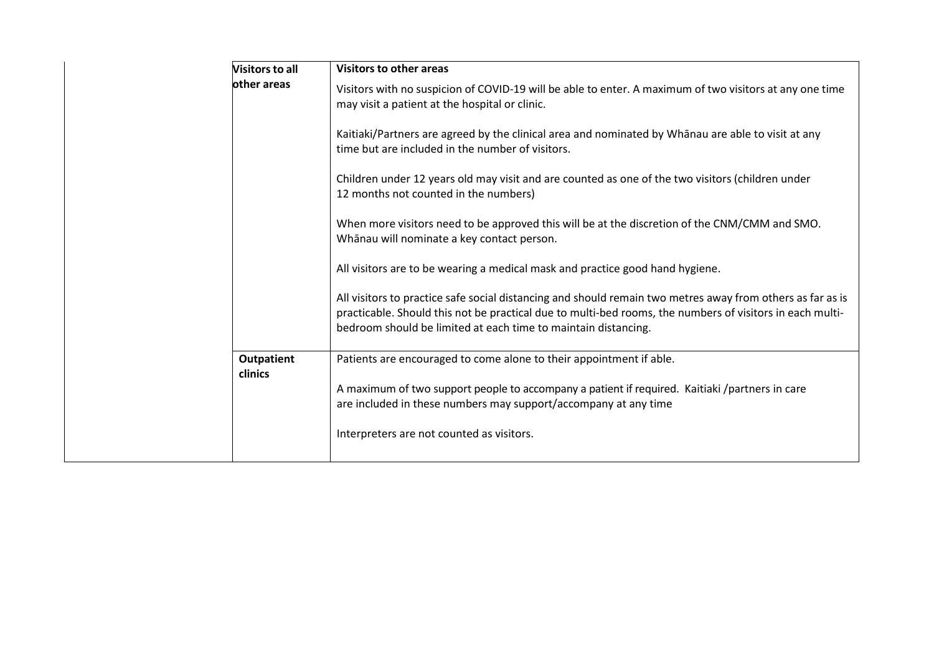| <b>Visitors to other areas</b><br><b>Visitors to all</b> |                                                                                                                                                                                                                                                                                          |  |  |
|----------------------------------------------------------|------------------------------------------------------------------------------------------------------------------------------------------------------------------------------------------------------------------------------------------------------------------------------------------|--|--|
| other areas                                              | Visitors with no suspicion of COVID-19 will be able to enter. A maximum of two visitors at any one time<br>may visit a patient at the hospital or clinic.                                                                                                                                |  |  |
|                                                          | Kaitiaki/Partners are agreed by the clinical area and nominated by Whānau are able to visit at any<br>time but are included in the number of visitors.                                                                                                                                   |  |  |
|                                                          | Children under 12 years old may visit and are counted as one of the two visitors (children under<br>12 months not counted in the numbers)                                                                                                                                                |  |  |
|                                                          | When more visitors need to be approved this will be at the discretion of the CNM/CMM and SMO.<br>Whānau will nominate a key contact person.                                                                                                                                              |  |  |
|                                                          | All visitors are to be wearing a medical mask and practice good hand hygiene.                                                                                                                                                                                                            |  |  |
|                                                          | All visitors to practice safe social distancing and should remain two metres away from others as far as is<br>practicable. Should this not be practical due to multi-bed rooms, the numbers of visitors in each multi-<br>bedroom should be limited at each time to maintain distancing. |  |  |
| Outpatient<br>clinics                                    | Patients are encouraged to come alone to their appointment if able.                                                                                                                                                                                                                      |  |  |
|                                                          | A maximum of two support people to accompany a patient if required. Kaitiaki /partners in care<br>are included in these numbers may support/accompany at any time                                                                                                                        |  |  |
|                                                          | Interpreters are not counted as visitors.                                                                                                                                                                                                                                                |  |  |
|                                                          |                                                                                                                                                                                                                                                                                          |  |  |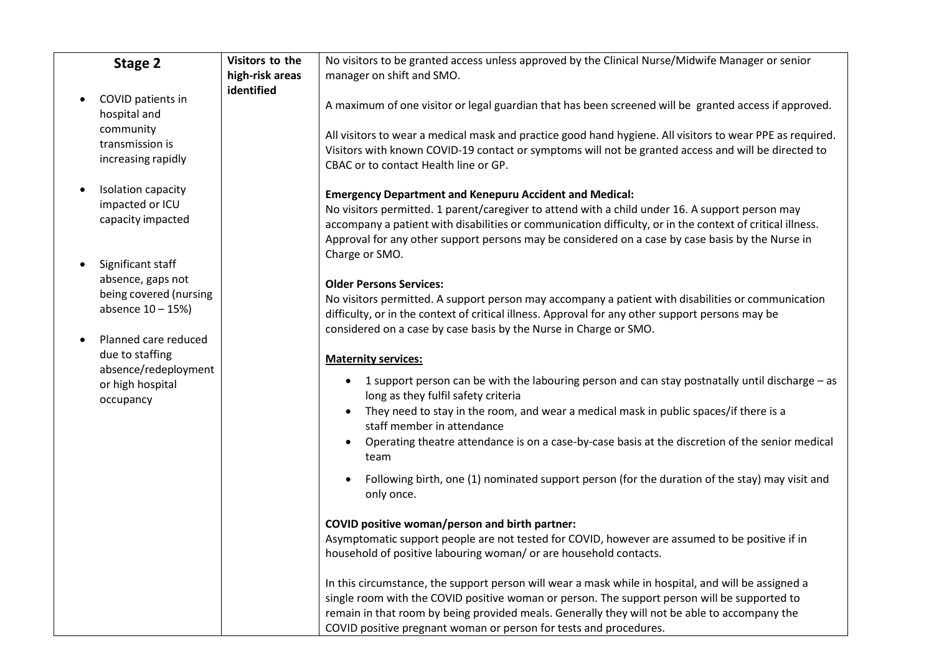| Stage 2                                                                                                        | Visitors to the | No visitors to be granted access unless approved by the Clinical Nurse/Midwife Manager or senior                                                                                                                                                                                                                                                                                                                                                                                                                                                                                                   |  |
|----------------------------------------------------------------------------------------------------------------|-----------------|----------------------------------------------------------------------------------------------------------------------------------------------------------------------------------------------------------------------------------------------------------------------------------------------------------------------------------------------------------------------------------------------------------------------------------------------------------------------------------------------------------------------------------------------------------------------------------------------------|--|
|                                                                                                                | high-risk areas | manager on shift and SMO.                                                                                                                                                                                                                                                                                                                                                                                                                                                                                                                                                                          |  |
| COVID patients in<br>hospital and<br>community<br>transmission is<br>increasing rapidly                        | identified      | A maximum of one visitor or legal guardian that has been screened will be granted access if approved.<br>All visitors to wear a medical mask and practice good hand hygiene. All visitors to wear PPE as required.<br>Visitors with known COVID-19 contact or symptoms will not be granted access and will be directed to<br>CBAC or to contact Health line or GP.                                                                                                                                                                                                                                 |  |
| Isolation capacity<br>impacted or ICU<br>capacity impacted                                                     |                 | <b>Emergency Department and Kenepuru Accident and Medical:</b><br>No visitors permitted. 1 parent/caregiver to attend with a child under 16. A support person may<br>accompany a patient with disabilities or communication difficulty, or in the context of critical illness.<br>Approval for any other support persons may be considered on a case by case basis by the Nurse in<br>Charge or SMO.                                                                                                                                                                                               |  |
| Significant staff<br>absence, gaps not<br>being covered (nursing<br>absence $10 - 15%$<br>Planned care reduced |                 | <b>Older Persons Services:</b><br>No visitors permitted. A support person may accompany a patient with disabilities or communication<br>difficulty, or in the context of critical illness. Approval for any other support persons may be<br>considered on a case by case basis by the Nurse in Charge or SMO.                                                                                                                                                                                                                                                                                      |  |
| due to staffing<br>absence/redeployment<br>or high hospital<br>occupancy                                       |                 | <b>Maternity services:</b><br>1 support person can be with the labouring person and can stay postnatally until discharge – as<br>$\bullet$<br>long as they fulfil safety criteria<br>They need to stay in the room, and wear a medical mask in public spaces/if there is a<br>staff member in attendance<br>Operating theatre attendance is on a case-by-case basis at the discretion of the senior medical<br>team<br>Following birth, one (1) nominated support person (for the duration of the stay) may visit and<br>only once.                                                                |  |
|                                                                                                                |                 | COVID positive woman/person and birth partner:<br>Asymptomatic support people are not tested for COVID, however are assumed to be positive if in<br>household of positive labouring woman/ or are household contacts.<br>In this circumstance, the support person will wear a mask while in hospital, and will be assigned a<br>single room with the COVID positive woman or person. The support person will be supported to<br>remain in that room by being provided meals. Generally they will not be able to accompany the<br>COVID positive pregnant woman or person for tests and procedures. |  |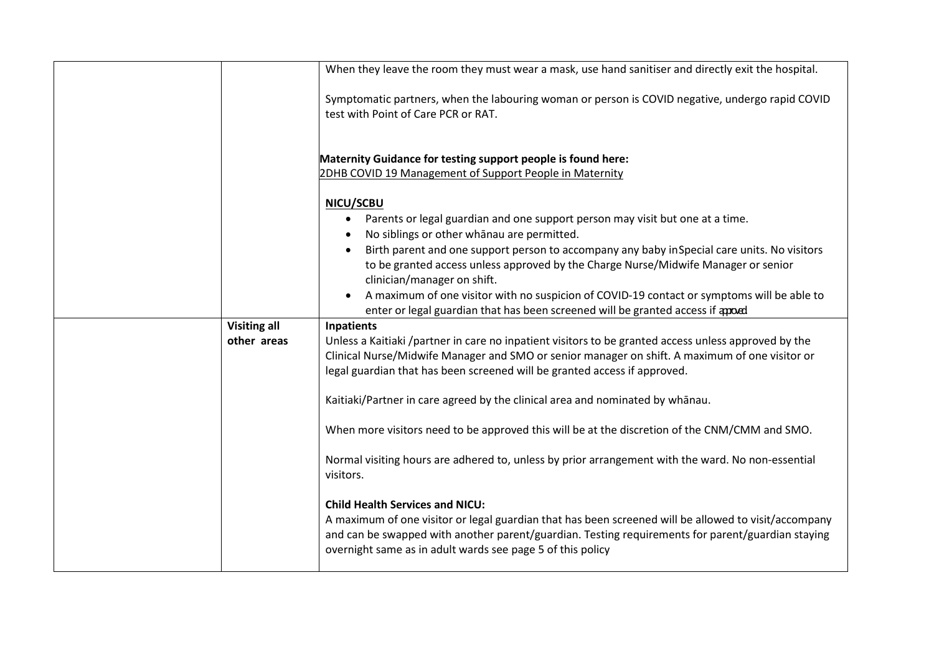|             | When they leave the room they must wear a mask, use hand sanitiser and directly exit the hospital.                                                                                                                                                                                                                |  |
|-------------|-------------------------------------------------------------------------------------------------------------------------------------------------------------------------------------------------------------------------------------------------------------------------------------------------------------------|--|
|             | Symptomatic partners, when the labouring woman or person is COVID negative, undergo rapid COVID<br>test with Point of Care PCR or RAT.                                                                                                                                                                            |  |
|             | Maternity Guidance for testing support people is found here:                                                                                                                                                                                                                                                      |  |
|             | 2DHB COVID 19 Management of Support People in Maternity                                                                                                                                                                                                                                                           |  |
|             | NICU/SCBU                                                                                                                                                                                                                                                                                                         |  |
|             | • Parents or legal guardian and one support person may visit but one at a time.<br>No siblings or other whanau are permitted.<br>$\bullet$                                                                                                                                                                        |  |
|             | Birth parent and one support person to accompany any baby in Special care units. No visitors<br>$\bullet$<br>to be granted access unless approved by the Charge Nurse/Midwife Manager or senior<br>clinician/manager on shift.                                                                                    |  |
|             | A maximum of one visitor with no suspicion of COVID-19 contact or symptoms will be able to<br>enter or legal guardian that has been screened will be granted access if apoed                                                                                                                                      |  |
|             | Inpatients                                                                                                                                                                                                                                                                                                        |  |
| other areas | Unless a Kaitiaki /partner in care no inpatient visitors to be granted access unless approved by the                                                                                                                                                                                                              |  |
|             | Clinical Nurse/Midwife Manager and SMO or senior manager on shift. A maximum of one visitor or<br>legal guardian that has been screened will be granted access if approved.                                                                                                                                       |  |
|             | Kaitiaki/Partner in care agreed by the clinical area and nominated by whanau.                                                                                                                                                                                                                                     |  |
|             | When more visitors need to be approved this will be at the discretion of the CNM/CMM and SMO.                                                                                                                                                                                                                     |  |
|             | Normal visiting hours are adhered to, unless by prior arrangement with the ward. No non-essential<br>visitors.                                                                                                                                                                                                    |  |
|             | <b>Child Health Services and NICU:</b><br>A maximum of one visitor or legal guardian that has been screened will be allowed to visit/accompany<br>and can be swapped with another parent/guardian. Testing requirements for parent/guardian staying<br>overnight same as in adult wards see page 5 of this policy |  |
|             | <b>Visiting all</b>                                                                                                                                                                                                                                                                                               |  |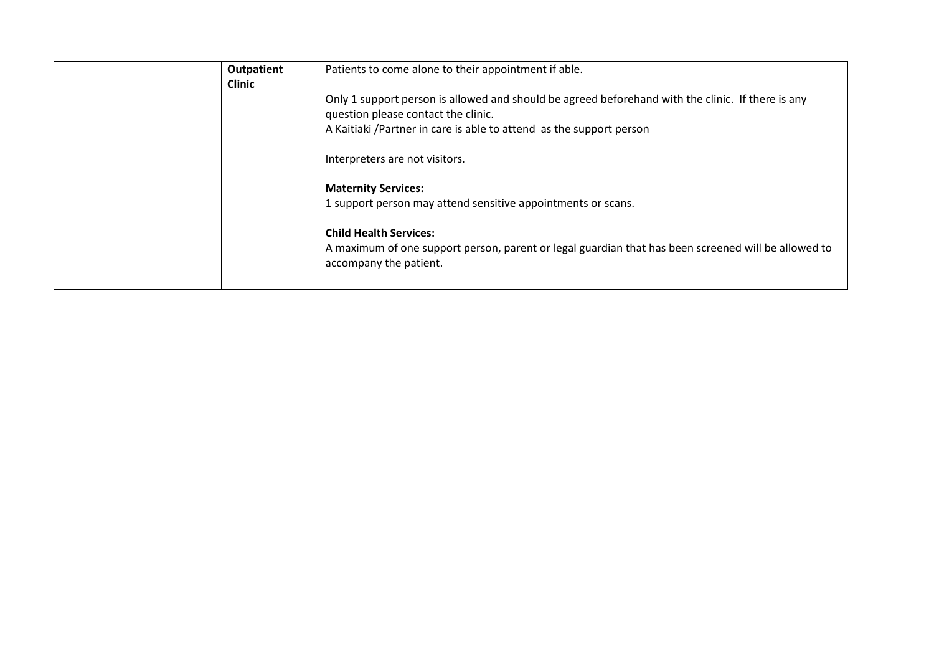| Outpatient<br><b>Clinic</b> | Patients to come alone to their appointment if able.                                                                                                                                                            |  |
|-----------------------------|-----------------------------------------------------------------------------------------------------------------------------------------------------------------------------------------------------------------|--|
|                             | Only 1 support person is allowed and should be agreed beforehand with the clinic. If there is any<br>question please contact the clinic.<br>A Kaitiaki /Partner in care is able to attend as the support person |  |
|                             | Interpreters are not visitors.                                                                                                                                                                                  |  |
|                             | <b>Maternity Services:</b><br>1 support person may attend sensitive appointments or scans.                                                                                                                      |  |
|                             | <b>Child Health Services:</b><br>A maximum of one support person, parent or legal guardian that has been screened will be allowed to<br>accompany the patient.                                                  |  |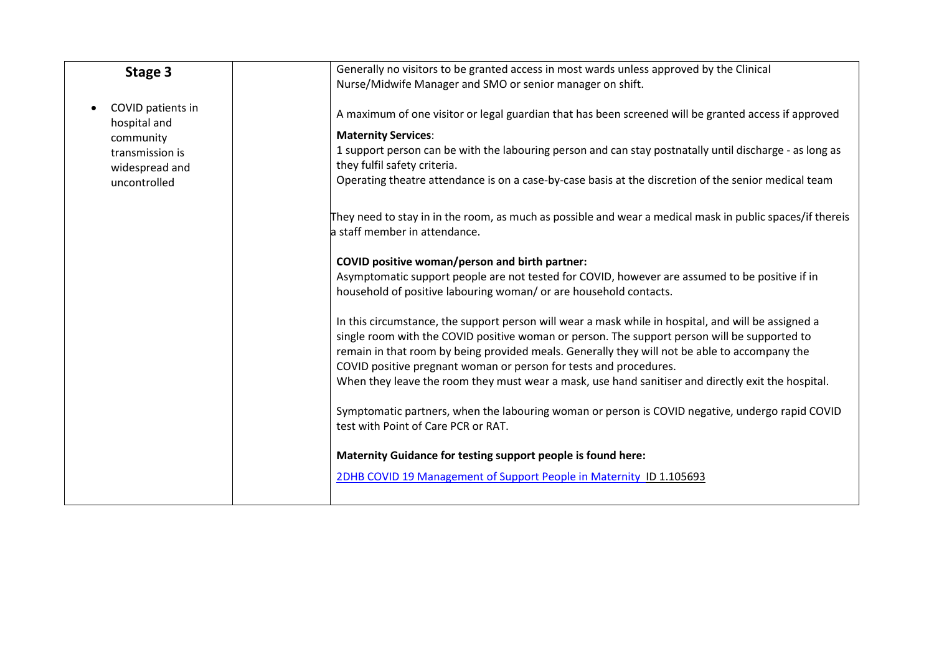| Stage 3                                                                                             | Generally no visitors to be granted access in most wards unless approved by the Clinical                                                                                                                                                                                                                                                                                                                                                                                        |
|-----------------------------------------------------------------------------------------------------|---------------------------------------------------------------------------------------------------------------------------------------------------------------------------------------------------------------------------------------------------------------------------------------------------------------------------------------------------------------------------------------------------------------------------------------------------------------------------------|
|                                                                                                     | Nurse/Midwife Manager and SMO or senior manager on shift.                                                                                                                                                                                                                                                                                                                                                                                                                       |
| COVID patients in<br>hospital and<br>community<br>transmission is<br>widespread and<br>uncontrolled | A maximum of one visitor or legal guardian that has been screened will be granted access if approved<br><b>Maternity Services:</b><br>1 support person can be with the labouring person and can stay postnatally until discharge - as long as<br>they fulfil safety criteria.<br>Operating theatre attendance is on a case-by-case basis at the discretion of the senior medical team                                                                                           |
|                                                                                                     | They need to stay in in the room, as much as possible and wear a medical mask in public spaces/if thereis<br>a staff member in attendance.                                                                                                                                                                                                                                                                                                                                      |
|                                                                                                     | COVID positive woman/person and birth partner:<br>Asymptomatic support people are not tested for COVID, however are assumed to be positive if in<br>household of positive labouring woman/ or are household contacts.                                                                                                                                                                                                                                                           |
|                                                                                                     | In this circumstance, the support person will wear a mask while in hospital, and will be assigned a<br>single room with the COVID positive woman or person. The support person will be supported to<br>remain in that room by being provided meals. Generally they will not be able to accompany the<br>COVID positive pregnant woman or person for tests and procedures.<br>When they leave the room they must wear a mask, use hand sanitiser and directly exit the hospital. |
|                                                                                                     | Symptomatic partners, when the labouring woman or person is COVID negative, undergo rapid COVID<br>test with Point of Care PCR or RAT.                                                                                                                                                                                                                                                                                                                                          |
|                                                                                                     | Maternity Guidance for testing support people is found here:<br>2DHB COVID 19 Management of Support People in Maternity ID 1.105693                                                                                                                                                                                                                                                                                                                                             |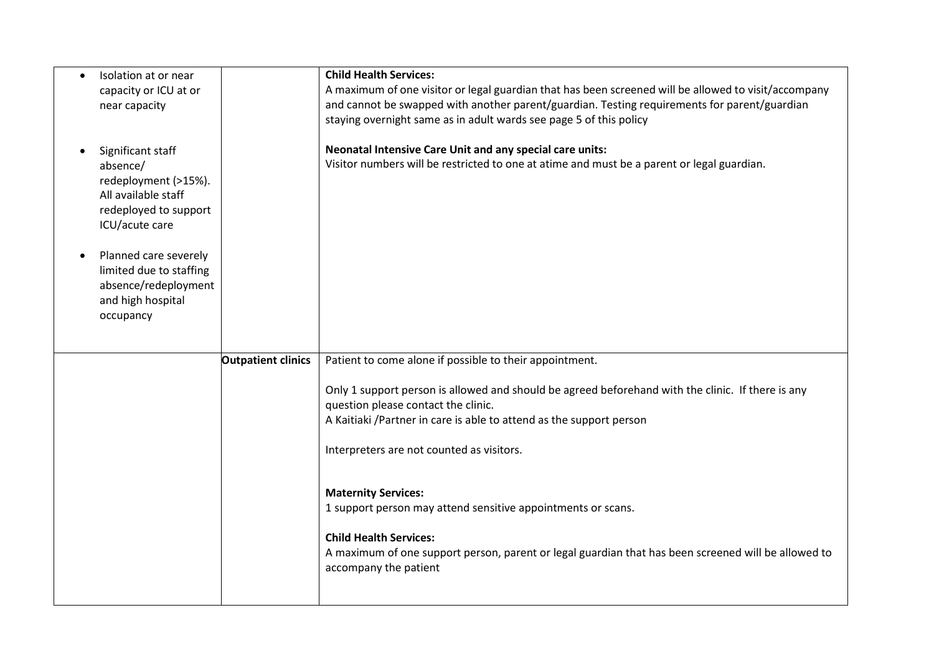| Isolation at or near<br>$\bullet$                                                                                                                                                                                                                  |                           | <b>Child Health Services:</b>                                                                                                                                                                                   |  |
|----------------------------------------------------------------------------------------------------------------------------------------------------------------------------------------------------------------------------------------------------|---------------------------|-----------------------------------------------------------------------------------------------------------------------------------------------------------------------------------------------------------------|--|
| capacity or ICU at or                                                                                                                                                                                                                              |                           | A maximum of one visitor or legal guardian that has been screened will be allowed to visit/accompany                                                                                                            |  |
| near capacity                                                                                                                                                                                                                                      |                           | and cannot be swapped with another parent/guardian. Testing requirements for parent/guardian                                                                                                                    |  |
|                                                                                                                                                                                                                                                    |                           | staying overnight same as in adult wards see page 5 of this policy                                                                                                                                              |  |
| Significant staff<br>absence/<br>redeployment (>15%).<br>All available staff<br>redeployed to support<br>ICU/acute care<br>Planned care severely<br>$\bullet$<br>limited due to staffing<br>absence/redeployment<br>and high hospital<br>occupancy |                           | Neonatal Intensive Care Unit and any special care units:<br>Visitor numbers will be restricted to one at atime and must be a parent or legal guardian.                                                          |  |
|                                                                                                                                                                                                                                                    |                           |                                                                                                                                                                                                                 |  |
|                                                                                                                                                                                                                                                    |                           |                                                                                                                                                                                                                 |  |
|                                                                                                                                                                                                                                                    | <b>Outpatient clinics</b> | Patient to come alone if possible to their appointment.                                                                                                                                                         |  |
|                                                                                                                                                                                                                                                    |                           | Only 1 support person is allowed and should be agreed beforehand with the clinic. If there is any<br>question please contact the clinic.<br>A Kaitiaki /Partner in care is able to attend as the support person |  |
|                                                                                                                                                                                                                                                    |                           |                                                                                                                                                                                                                 |  |
|                                                                                                                                                                                                                                                    |                           | Interpreters are not counted as visitors.                                                                                                                                                                       |  |
|                                                                                                                                                                                                                                                    |                           |                                                                                                                                                                                                                 |  |
|                                                                                                                                                                                                                                                    |                           | <b>Maternity Services:</b>                                                                                                                                                                                      |  |
|                                                                                                                                                                                                                                                    |                           | 1 support person may attend sensitive appointments or scans.                                                                                                                                                    |  |
|                                                                                                                                                                                                                                                    |                           |                                                                                                                                                                                                                 |  |
|                                                                                                                                                                                                                                                    |                           | <b>Child Health Services:</b><br>A maximum of one support person, parent or legal guardian that has been screened will be allowed to<br>accompany the patient                                                   |  |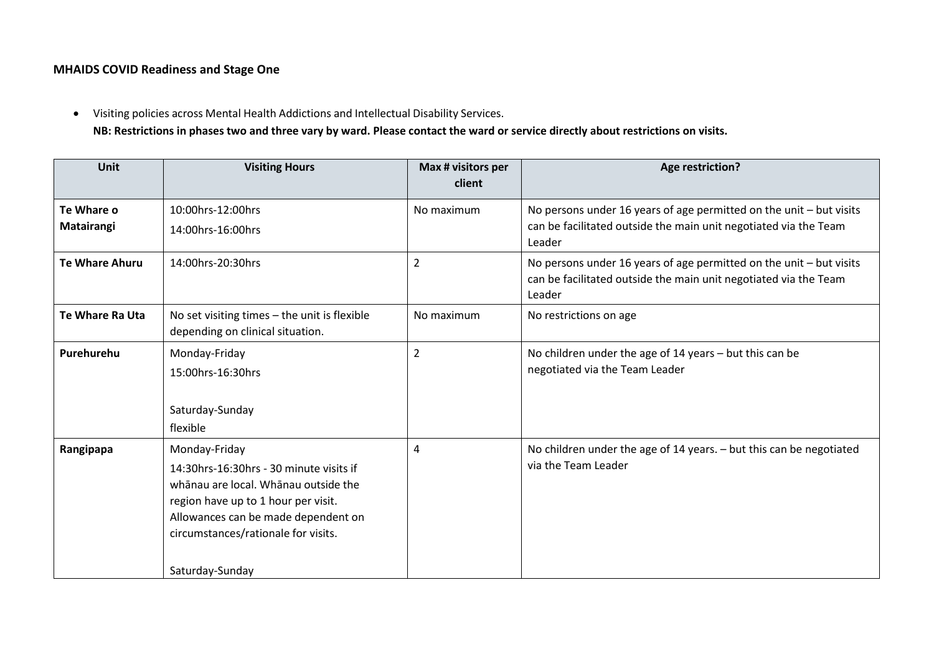# **MHAIDS COVID Readiness and Stage One**

Visiting policies across Mental Health Addictions and Intellectual Disability Services.

**NB: Restrictions in phases two and three vary by ward. Please contact the ward or service directly about restrictions on visits.** 

| Unit                     | <b>Visiting Hours</b>                                                                                                                                                                                                 | Max # visitors per<br>client | <b>Age restriction?</b>                                                                                                                             |
|--------------------------|-----------------------------------------------------------------------------------------------------------------------------------------------------------------------------------------------------------------------|------------------------------|-----------------------------------------------------------------------------------------------------------------------------------------------------|
| Te Whare o<br>Matairangi | 10:00hrs-12:00hrs<br>14:00hrs-16:00hrs                                                                                                                                                                                | No maximum                   | No persons under 16 years of age permitted on the unit $-$ but visits<br>can be facilitated outside the main unit negotiated via the Team<br>Leader |
| <b>Te Whare Ahuru</b>    | 14:00hrs-20:30hrs                                                                                                                                                                                                     | $\overline{2}$               | No persons under 16 years of age permitted on the unit $-$ but visits<br>can be facilitated outside the main unit negotiated via the Team<br>Leader |
| Te Whare Ra Uta          | No set visiting times - the unit is flexible<br>depending on clinical situation.                                                                                                                                      | No maximum                   | No restrictions on age                                                                                                                              |
| Purehurehu               | Monday-Friday<br>15:00hrs-16:30hrs                                                                                                                                                                                    | $\overline{2}$               | No children under the age of 14 years - but this can be<br>negotiated via the Team Leader                                                           |
|                          | Saturday-Sunday<br>flexible                                                                                                                                                                                           |                              |                                                                                                                                                     |
| Rangipapa                | Monday-Friday<br>14:30hrs-16:30hrs - 30 minute visits if<br>whānau are local. Whānau outside the<br>region have up to 1 hour per visit.<br>Allowances can be made dependent on<br>circumstances/rationale for visits. | 4                            | No children under the age of 14 years. - but this can be negotiated<br>via the Team Leader                                                          |
|                          | Saturday-Sunday                                                                                                                                                                                                       |                              |                                                                                                                                                     |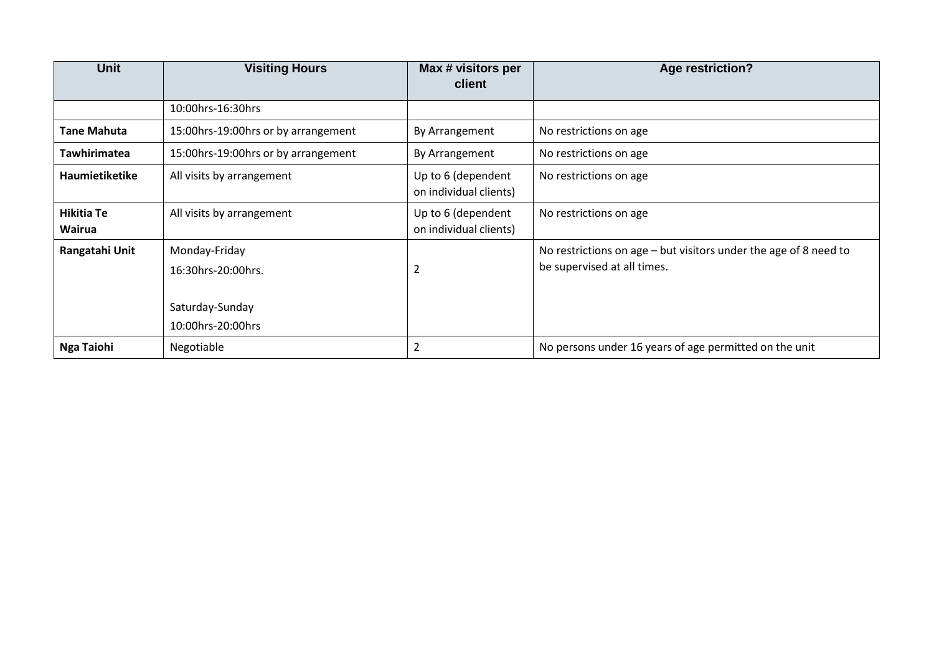| <b>Unit</b>           | <b>Visiting Hours</b>                                                       | Max # visitors per<br>client                 | <b>Age restriction?</b>                                                                         |
|-----------------------|-----------------------------------------------------------------------------|----------------------------------------------|-------------------------------------------------------------------------------------------------|
|                       | 10:00hrs-16:30hrs                                                           |                                              |                                                                                                 |
| <b>Tane Mahuta</b>    | 15:00hrs-19:00hrs or by arrangement                                         | By Arrangement                               | No restrictions on age                                                                          |
| <b>Tawhirimatea</b>   | 15:00hrs-19:00hrs or by arrangement                                         | By Arrangement                               | No restrictions on age                                                                          |
| <b>Haumietiketike</b> | All visits by arrangement                                                   | Up to 6 (dependent<br>on individual clients) | No restrictions on age                                                                          |
| Hikitia Te<br>Wairua  | All visits by arrangement                                                   | Up to 6 (dependent<br>on individual clients) | No restrictions on age                                                                          |
| Rangatahi Unit        | Monday-Friday<br>16:30hrs-20:00hrs.<br>Saturday-Sunday<br>10:00hrs-20:00hrs | $\overline{2}$                               | No restrictions on age - but visitors under the age of 8 need to<br>be supervised at all times. |
| <b>Nga Taiohi</b>     | Negotiable                                                                  | $\overline{2}$                               | No persons under 16 years of age permitted on the unit                                          |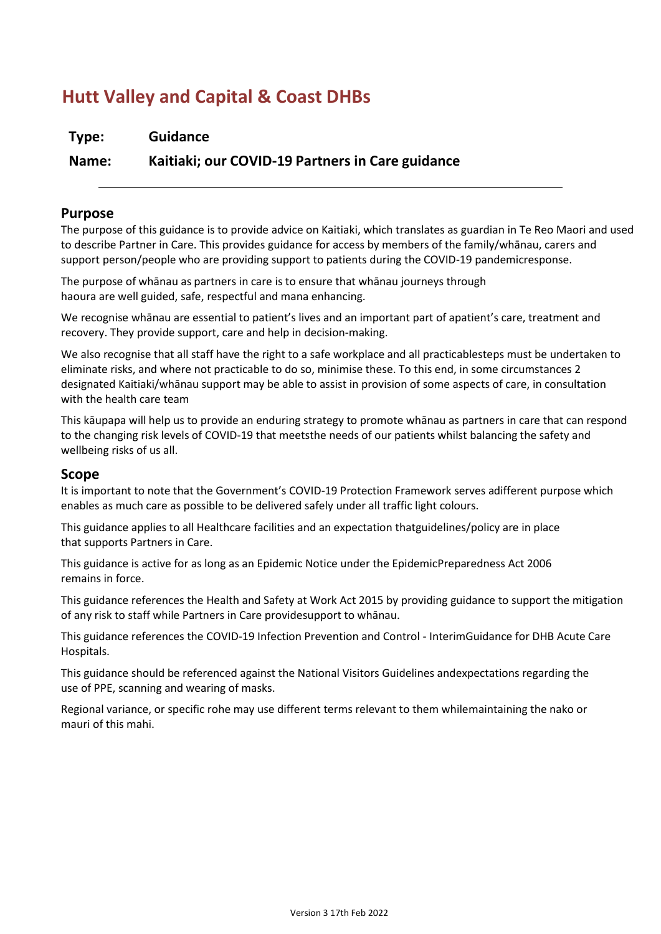# **Hutt Valley and Capital & Coast DHBs**

**Type: Guidance**

**Name: Kaitiaki; our COVID-19 Partners in Care guidance**

# **Purpose**

The purpose of this guidance is to provide advice on Kaitiaki, which translates as guardian in Te Reo Maori and used to describe Partner in Care. This provides guidance for access by members of the family/whānau, carers and support person/people who are providing support to patients during the COVID-19 pandemicresponse.

The purpose of whānau as partners in care is to ensure that whānau journeys through haoura are well guided, safe, respectful and mana enhancing.

We recognise whānau are essential to patient's lives and an important part of apatient's care, treatment and recovery. They provide support, care and help in decision-making.

We also recognise that all staff have the right to a safe workplace and all practicablesteps must be undertaken to eliminate risks, and where not practicable to do so, minimise these. To this end, in some circumstances 2 designated Kaitiaki/whānau support may be able to assist in provision of some aspects of care, in consultation with the health care team

This kāupapa will help us to provide an enduring strategy to promote whānau as partners in care that can respond to the changing risk levels of COVID-19 that meetsthe needs of our patients whilst balancing the safety and wellbeing risks of us all.

# **Scope**

It is important to note that the Government's COVID-19 Protection Framework serves adifferent purpose which enables as much care as possible to be delivered safely under all traffic light colours.

This guidance applies to all Healthcare facilities and an expectation thatguidelines/policy are in place that supports Partners in Care.

This guidance is active for as long as an Epidemic Notice under the EpidemicPreparedness Act 2006 remains in force.

This guidance references the Health and Safety at Work Act 2015 by providing guidance to support the mitigation of any risk to staff while Partners in Care providesupport to whānau.

This guidance references the COVID-19 Infection Prevention and Control - InterimGuidance for DHB Acute Care Hospitals.

This guidance should be referenced against the National Visitors Guidelines andexpectations regarding the use of PPE, scanning and wearing of masks.

Regional variance, or specific rohe may use different terms relevant to them whilemaintaining the nako or mauri of this mahi.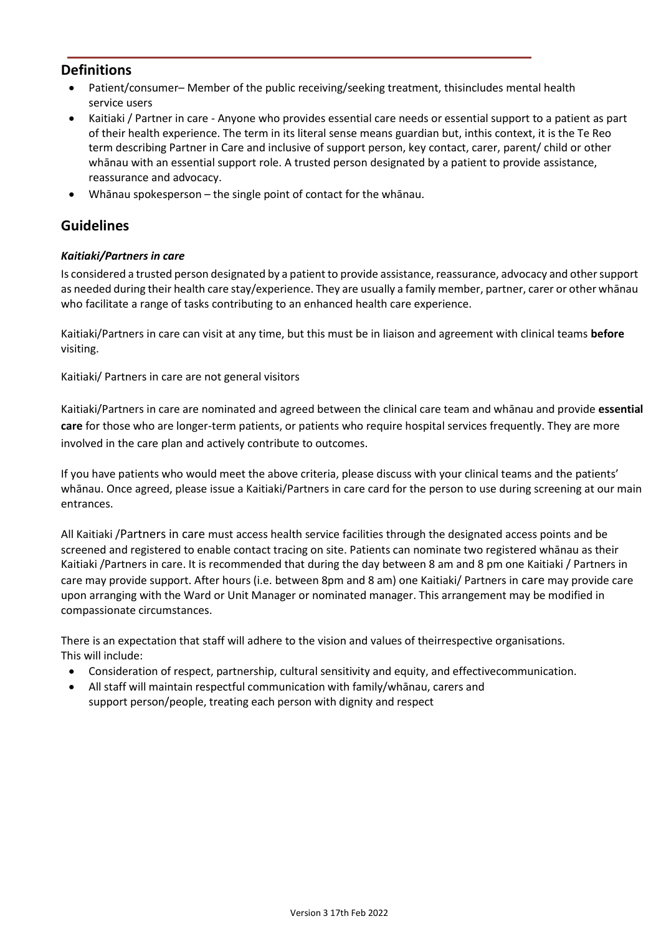# **Definitions**

- Patient/consumer– Member of the public receiving/seeking treatment, thisincludes mental health service users
- Kaitiaki / Partner in care Anyone who provides essential care needs or essential support to a patient as part of their health experience. The term in its literal sense means guardian but, inthis context, it is the Te Reo term describing Partner in Care and inclusive of support person, key contact, carer, parent/ child or other whānau with an essential support role. A trusted person designated by a patient to provide assistance, reassurance and advocacy.
- Whānau spokesperson the single point of contact for the whānau.

# **Guidelines**

### *Kaitiaki/Partners in care*

Is considered a trusted person designated by a patient to provide assistance, reassurance, advocacy and other support as needed during their health care stay/experience. They are usually a family member, partner, carer or other whānau who facilitate a range of tasks contributing to an enhanced health care experience.

Kaitiaki/Partners in care can visit at any time, but this must be in liaison and agreement with clinical teams **before** visiting.

Kaitiaki/ Partners in care are not general visitors

Kaitiaki/Partners in care are nominated and agreed between the clinical care team and whānau and provide **essential care** for those who are longer-term patients, or patients who require hospital services frequently. They are more involved in the care plan and actively contribute to outcomes.

If you have patients who would meet the above criteria, please discuss with your clinical teams and the patients' whānau. Once agreed, please issue a Kaitiaki/Partners in care card for the person to use during screening at our main entrances.

All Kaitiaki /Partners in care must access health service facilities through the designated access points and be screened and registered to enable contact tracing on site. Patients can nominate two registered whānau as their Kaitiaki /Partners in care. It is recommended that during the day between 8 am and 8 pm one Kaitiaki / Partners in care may provide support. After hours (i.e. between 8pm and 8 am) one Kaitiaki/ Partners in care may provide care upon arranging with the Ward or Unit Manager or nominated manager. This arrangement may be modified in compassionate circumstances.

There is an expectation that staff will adhere to the vision and values of theirrespective organisations. This will include:

- Consideration of respect, partnership, cultural sensitivity and equity, and effectivecommunication.
- All staff will maintain respectful communication with family/whānau, carers and support person/people, treating each person with dignity and respect